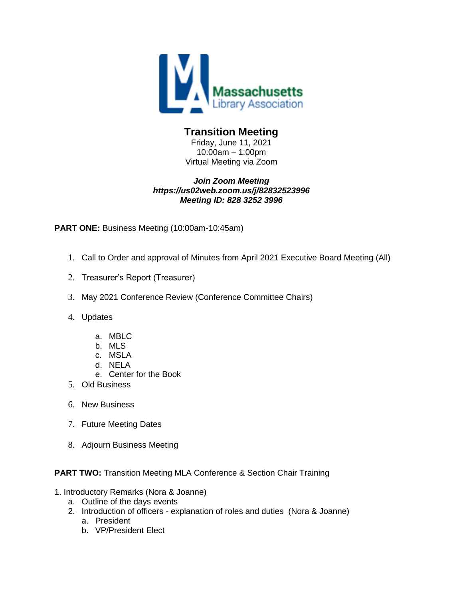

## **Transition Meeting**

Friday, June 11, 2021 10:00am – 1:00pm Virtual Meeting via Zoom

#### *Join Zoom Meeting https://us02web.zoom.us/j/82832523996 Meeting ID: 828 3252 3996*

**PART ONE:** Business Meeting (10:00am-10:45am)

- 1. Call to Order and approval of Minutes from April 2021 Executive Board Meeting (All)
- 2. Treasurer's Report (Treasurer)
- 3. May 2021 Conference Review (Conference Committee Chairs)
- 4. Updates
	- a. MBLC
	- b. MLS
	- c. MSLA
	- d. NELA
	- e. Center for the Book
- 5. Old Business
- 6. New Business
- 7. Future Meeting Dates
- 8. Adjourn Business Meeting

#### **PART TWO:** Transition Meeting MLA Conference & Section Chair Training

- 1. Introductory Remarks (Nora & Joanne)
	- a. Outline of the days events
	- 2. Introduction of officers explanation of roles and duties (Nora & Joanne) a. President
		- b. VP/President Elect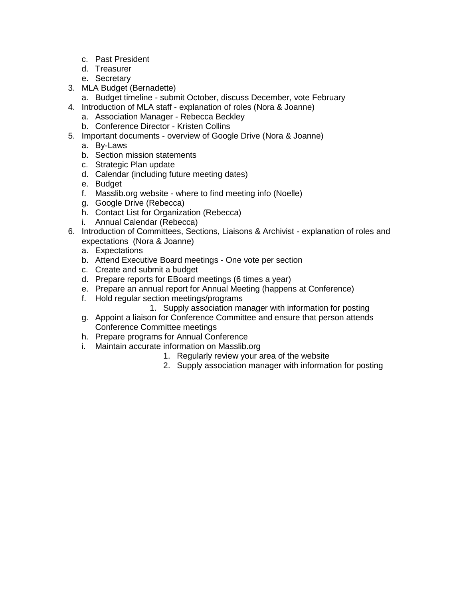- c. Past President
- d. Treasurer
- e. Secretary
- 3. MLA Budget (Bernadette)
	- a. Budget timeline submit October, discuss December, vote February
- 4. Introduction of MLA staff explanation of roles (Nora & Joanne)
	- a. Association Manager Rebecca Beckley
	- b. Conference Director Kristen Collins
- 5. Important documents overview of Google Drive (Nora & Joanne)
	- a. By-Laws
	- b. Section mission statements
	- c. Strategic Plan update
	- d. Calendar (including future meeting dates)
	- e. Budget
	- f. Masslib.org website where to find meeting info (Noelle)
	- g. Google Drive (Rebecca)
	- h. Contact List for Organization (Rebecca)
	- i. Annual Calendar (Rebecca)
- 6. Introduction of Committees, Sections, Liaisons & Archivist explanation of roles and expectations (Nora & Joanne)
	- a. Expectations
	- b. Attend Executive Board meetings One vote per section
	- c. Create and submit a budget
	- d. Prepare reports for EBoard meetings (6 times a year)
	- e. Prepare an annual report for Annual Meeting (happens at Conference)
	- f. Hold regular section meetings/programs
		- 1. Supply association manager with information for posting
	- g. Appoint a liaison for Conference Committee and ensure that person attends Conference Committee meetings
	- h. Prepare programs for Annual Conference
	- i. Maintain accurate information on Masslib.org
		- 1. Regularly review your area of the website
		- 2. Supply association manager with information for posting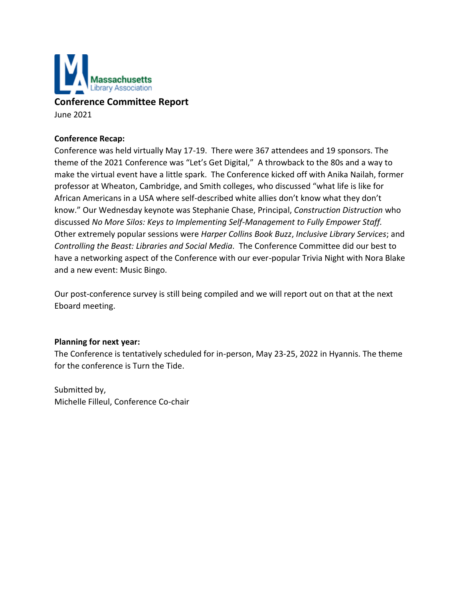

**Conference Committee Report**

June 2021

#### **Conference Recap:**

Conference was held virtually May 17-19. There were 367 attendees and 19 sponsors. The theme of the 2021 Conference was "Let's Get Digital," A throwback to the 80s and a way to make the virtual event have a little spark. The Conference kicked off with Anika Nailah, former professor at Wheaton, Cambridge, and Smith colleges, who discussed "what life is like for African Americans in a USA where self-described white allies don't know what they don't know." Our Wednesday keynote was Stephanie Chase, Principal, *Construction Distruction* who discussed *No More Silos: Keys to Implementing Self-Management to Fully Empower Staff.* Other extremely popular sessions were *Harper Collins Book Buzz*, *Inclusive Library Services*; and *Controlling the Beast: Libraries and Social Media*. The Conference Committee did our best to have a networking aspect of the Conference with our ever-popular Trivia Night with Nora Blake and a new event: Music Bingo.

Our post-conference survey is still being compiled and we will report out on that at the next Eboard meeting.

#### **Planning for next year:**

The Conference is tentatively scheduled for in-person, May 23-25, 2022 in Hyannis. The theme for the conference is Turn the Tide.

Submitted by, Michelle Filleul, Conference Co-chair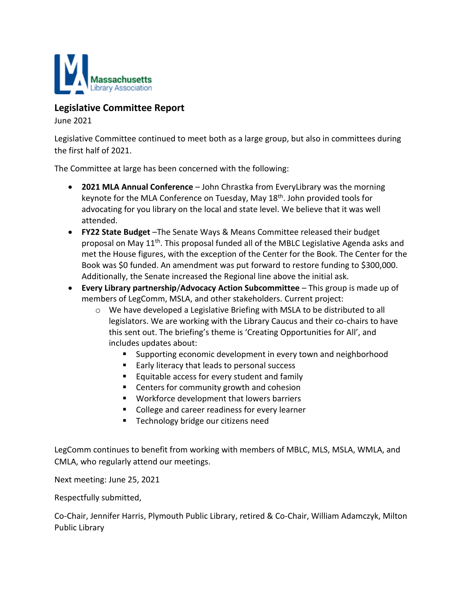

## **Legislative Committee Report**

June 2021

Legislative Committee continued to meet both as a large group, but also in committees during the first half of 2021.

The Committee at large has been concerned with the following:

- **2021 MLA Annual Conference** John Chrastka from EveryLibrary was the morning keynote for the MLA Conference on Tuesday, May 18th. John provided tools for advocating for you library on the local and state level. We believe that it was well attended.
- **FY22 State Budget** –The Senate Ways & Means Committee released their budget proposal on May 11<sup>th</sup>. This proposal funded all of the MBLC Legislative Agenda asks and met the House figures, with the exception of the Center for the Book. The Center for the Book was \$0 funded. An amendment was put forward to restore funding to \$300,000. Additionally, the Senate increased the Regional line above the initial ask.
- **Every Library partnership**/**Advocacy Action Subcommittee** This group is made up of members of LegComm, MSLA, and other stakeholders. Current project:
	- $\circ$  We have developed a Legislative Briefing with MSLA to be distributed to all legislators. We are working with the Library Caucus and their co-chairs to have this sent out. The briefing's theme is 'Creating Opportunities for All', and includes updates about:
		- Supporting economic development in every town and neighborhood
		- Early literacy that leads to personal success
		- **Equitable access for every student and family**
		- Centers for community growth and cohesion
		- **Workforce development that lowers barriers**
		- College and career readiness for every learner
		- **Technology bridge our citizens need**

LegComm continues to benefit from working with members of MBLC, MLS, MSLA, WMLA, and CMLA, who regularly attend our meetings.

Next meeting: June 25, 2021

Respectfully submitted,

Co-Chair, Jennifer Harris, Plymouth Public Library, retired & Co-Chair, William Adamczyk, Milton Public Library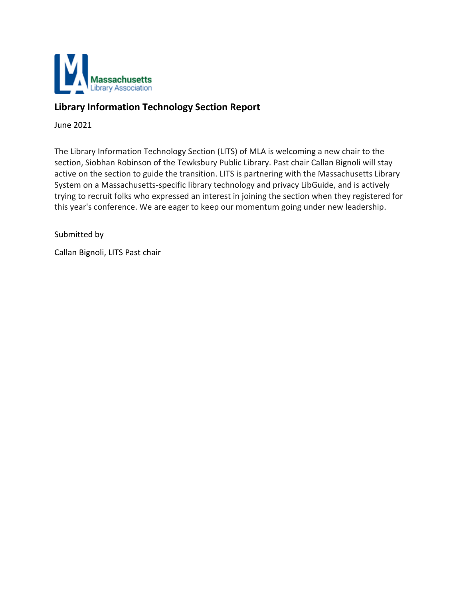

# **Library Information Technology Section Report**

June 2021

The Library Information Technology Section (LITS) of MLA is welcoming a new chair to the section, Siobhan Robinson of the Tewksbury Public Library. Past chair Callan Bignoli will stay active on the section to guide the transition. LITS is partnering with the Massachusetts Library System on a Massachusetts-specific library technology and privacy LibGuide, and is actively trying to recruit folks who expressed an interest in joining the section when they registered for this year's conference. We are eager to keep our momentum going under new leadership.

Submitted by

Callan Bignoli, LITS Past chair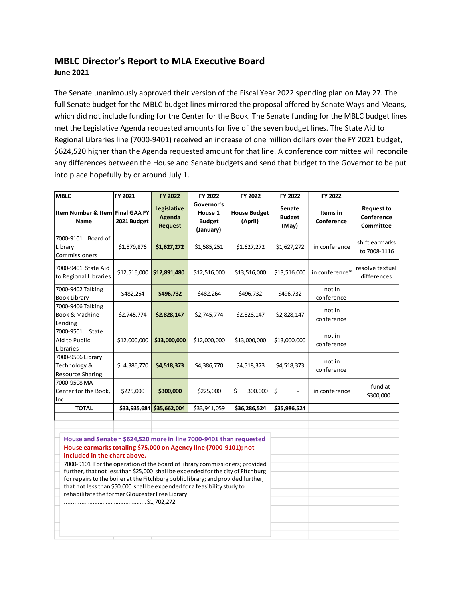## **MBLC Director's Report to MLA Executive Board June 2021**

The Senate unanimously approved their version of the Fiscal Year 2022 spending plan on May 27. The full Senate budget for the MBLC budget lines mirrored the proposal offered by Senate Ways and Means, which did not include funding for the Center for the Book. The Senate funding for the MBLC budget lines met the Legislative Agenda requested amounts for five of the seven budget lines. The State Aid to Regional Libraries line (7000-9401) received an increase of one million dollars over the FY 2021 budget, \$624,520 higher than the Agenda requested amount for that line. A conference committee will reconcile any differences between the House and Senate budgets and send that budget to the Governor to be put into place hopefully by or around July 1.

| <b>MBLC</b>                                                                                                                                                                                                                                                                                                                                                                                                                                                                                                                                                  | FY 2021      | FY 2022                                 | FY 2022                                             | FY 2022                        | FY 2022                                 | FY 2022                |                                                     |
|--------------------------------------------------------------------------------------------------------------------------------------------------------------------------------------------------------------------------------------------------------------------------------------------------------------------------------------------------------------------------------------------------------------------------------------------------------------------------------------------------------------------------------------------------------------|--------------|-----------------------------------------|-----------------------------------------------------|--------------------------------|-----------------------------------------|------------------------|-----------------------------------------------------|
| Item Number & Item Final GAA FY<br><b>Name</b>                                                                                                                                                                                                                                                                                                                                                                                                                                                                                                               | 2021 Budget  | Legislative<br><b>Agenda</b><br>Request | Governor's<br>House 1<br><b>Budget</b><br>(January) | <b>House Budget</b><br>(April) | <b>Senate</b><br><b>Budget</b><br>(May) | Items in<br>Conference | <b>Request to</b><br>Conference<br><b>Committee</b> |
| 7000-9101 Board of<br>Library<br>Commissioners                                                                                                                                                                                                                                                                                                                                                                                                                                                                                                               | \$1,579,876  | \$1,627,272                             | \$1,585,251                                         | \$1,627,272                    | \$1,627,272                             | in conference          | shift earmarks<br>to 7008-1116                      |
| 7000-9401 State Aid<br>to Regional Libraries                                                                                                                                                                                                                                                                                                                                                                                                                                                                                                                 | \$12,516,000 | \$12,891,480                            | \$12,516,000                                        | \$13,516,000                   | \$13,516,000                            | in conference*         | resolve textual<br>differences                      |
| 7000-9402 Talking<br><b>Book Library</b>                                                                                                                                                                                                                                                                                                                                                                                                                                                                                                                     | \$482,264    | \$496,732                               | \$482,264                                           | \$496,732                      | \$496,732                               | not in<br>conference   |                                                     |
| 7000-9406 Talking<br>Book & Machine<br>Lending                                                                                                                                                                                                                                                                                                                                                                                                                                                                                                               | \$2,745,774  | \$2,828,147                             | \$2,745,774                                         | \$2,828,147                    | \$2,828,147                             | not in<br>conference   |                                                     |
| 7000-9501 State<br>Aid to Public<br>Libraries                                                                                                                                                                                                                                                                                                                                                                                                                                                                                                                | \$12,000,000 | \$13,000,000                            | \$12,000,000                                        | \$13,000,000                   | \$13,000,000                            | not in<br>conference   |                                                     |
| 7000-9506 Library<br>Technology &<br><b>Resource Sharing</b>                                                                                                                                                                                                                                                                                                                                                                                                                                                                                                 | \$4,386,770  | \$4,518,373                             | \$4,386,770                                         | \$4,518,373                    | \$4,518,373                             | not in<br>conference   |                                                     |
| 7000-9508 MA<br>Center for the Book,<br>Inc                                                                                                                                                                                                                                                                                                                                                                                                                                                                                                                  | \$225,000    | \$300,000                               | \$225,000                                           | \$<br>300,000                  | \$<br>$\blacksquare$                    | in conference          | fund at<br>\$300,000                                |
| <b>TOTAL</b>                                                                                                                                                                                                                                                                                                                                                                                                                                                                                                                                                 |              | \$33,935,684 \$35,662,004               | \$33,941,059                                        | \$36,286,524                   | \$35,986,524                            |                        |                                                     |
| House and Senate = \$624,520 more in line 7000-9401 than requested<br>House earmarks totaling \$75,000 on Agency line (7000-9101); not<br>included in the chart above.<br>7000-9101 For the operation of the board of library commissioners; provided<br>further, that not less than \$25,000 shall be expended for the city of Fitchburg<br>for repairs to the boiler at the Fitchburg public library; and provided further,<br>that not less than \$50,000 shall be expended for a feasibility study to<br>rehabilitate the former Gloucester Free Library |              |                                         |                                                     |                                |                                         |                        |                                                     |
|                                                                                                                                                                                                                                                                                                                                                                                                                                                                                                                                                              |              |                                         |                                                     |                                |                                         |                        |                                                     |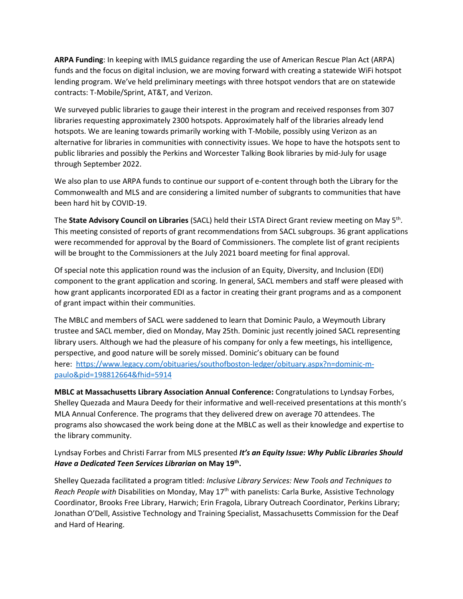**ARPA Funding**: In keeping with IMLS guidance regarding the use of American Rescue Plan Act (ARPA) funds and the focus on digital inclusion, we are moving forward with creating a statewide WiFi hotspot lending program. We've held preliminary meetings with three hotspot vendors that are on statewide contracts: T-Mobile/Sprint, AT&T, and Verizon.

We surveyed public libraries to gauge their interest in the program and received responses from 307 libraries requesting approximately 2300 hotspots. Approximately half of the libraries already lend hotspots. We are leaning towards primarily working with T-Mobile, possibly using Verizon as an alternative for libraries in communities with connectivity issues. We hope to have the hotspots sent to public libraries and possibly the Perkins and Worcester Talking Book libraries by mid-July for usage through September 2022.

We also plan to use ARPA funds to continue our support of e-content through both the Library for the Commonwealth and MLS and are considering a limited number of subgrants to communities that have been hard hit by COVID-19.

The State Advisory Council on Libraries (SACL) held their LSTA Direct Grant review meeting on May 5<sup>th</sup>. This meeting consisted of reports of grant recommendations from SACL subgroups. 36 grant applications were recommended for approval by the Board of Commissioners. The complete list of grant recipients will be brought to the Commissioners at the July 2021 board meeting for final approval.

Of special note this application round was the inclusion of an Equity, Diversity, and Inclusion (EDI) component to the grant application and scoring. In general, SACL members and staff were pleased with how grant applicants incorporated EDI as a factor in creating their grant programs and as a component of grant impact within their communities.

The MBLC and members of SACL were saddened to learn that Dominic Paulo, a Weymouth Library trustee and SACL member, died on Monday, May 25th. Dominic just recently joined SACL representing library users. Although we had the pleasure of his company for only a few meetings, his intelligence, perspective, and good nature will be sorely missed. Dominic's obituary can be found here: [https://www.legacy.com/obituaries/southofboston-ledger/obituary.aspx?n=dominic-m](https://www.legacy.com/obituaries/southofboston-ledger/obituary.aspx?n=dominic-m-paulo&pid=198812664&fhid=5914)[paulo&pid=198812664&fhid=5914](https://www.legacy.com/obituaries/southofboston-ledger/obituary.aspx?n=dominic-m-paulo&pid=198812664&fhid=5914)

**MBLC at Massachusetts Library Association Annual Conference:** Congratulations to Lyndsay Forbes, Shelley Quezada and Maura Deedy for their informative and well-received presentations at this month's MLA Annual Conference. The programs that they delivered drew on average 70 attendees. The programs also showcased the work being done at the MBLC as well as their knowledge and expertise to the library community.

### Lyndsay Forbes and Christi Farrar from MLS presented *It's an Equity Issue: Why Public Libraries Should Have a Dedicated Teen Services Librarian* **on May 19th .**

Shelley Quezada facilitated a program titled: *Inclusive Library Services: New Tools and Techniques to Reach People with* Disabilities on Monday, May 17th with panelists: Carla Burke, Assistive Technology Coordinator, Brooks Free Library, Harwich; Erin Fragola, Library Outreach Coordinator, Perkins Library; Jonathan O'Dell, Assistive Technology and Training Specialist, Massachusetts Commission for the Deaf and Hard of Hearing.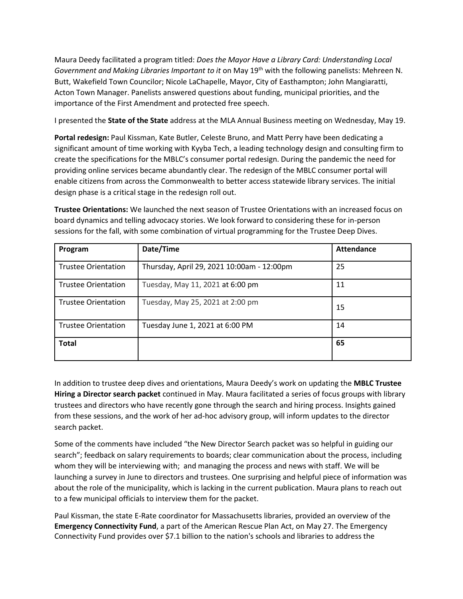Maura Deedy facilitated a program titled: *Does the Mayor Have a Library Card: Understanding Local Government and Making Libraries Important to it* on May 19th with the following panelists: Mehreen N. Butt, Wakefield Town Councilor; Nicole LaChapelle, Mayor, City of Easthampton; John Mangiaratti, Acton Town Manager. Panelists answered questions about funding, municipal priorities, and the importance of the First Amendment and protected free speech.

I presented the **State of the State** address at the MLA Annual Business meeting on Wednesday, May 19.

**Portal redesign:** Paul Kissman, Kate Butler, Celeste Bruno, and Matt Perry have been dedicating a significant amount of time working with Kyyba Tech, a leading technology design and consulting firm to create the specifications for the MBLC's consumer portal redesign. During the pandemic the need for providing online services became abundantly clear. The redesign of the MBLC consumer portal will enable citizens from across the Commonwealth to better access statewide library services. The initial design phase is a critical stage in the redesign roll out.

**Trustee Orientations:** We launched the next season of Trustee Orientations with an increased focus on board dynamics and telling advocacy stories. We look forward to considering these for in-person sessions for the fall, with some combination of virtual programming for the Trustee Deep Dives.

| Program                    | Date/Time                                  | Attendance |
|----------------------------|--------------------------------------------|------------|
| <b>Trustee Orientation</b> | Thursday, April 29, 2021 10:00am - 12:00pm | 25         |
| <b>Trustee Orientation</b> | Tuesday, May 11, 2021 at 6:00 pm           | 11         |
| <b>Trustee Orientation</b> | Tuesday, May 25, 2021 at 2:00 pm           | 15         |
| <b>Trustee Orientation</b> | Tuesday June 1, 2021 at 6:00 PM            | 14         |
| <b>Total</b>               |                                            | 65         |

In addition to trustee deep dives and orientations, Maura Deedy's work on updating the **MBLC Trustee Hiring a Director search packet** continued in May. Maura facilitated a series of focus groups with library trustees and directors who have recently gone through the search and hiring process. Insights gained from these sessions, and the work of her ad-hoc advisory group, will inform updates to the director search packet.

Some of the comments have included "the New Director Search packet was so helpful in guiding our search"; feedback on salary requirements to boards; clear communication about the process, including whom they will be interviewing with; and managing the process and news with staff. We will be launching a survey in June to directors and trustees. One surprising and helpful piece of information was about the role of the municipality, which is lacking in the current publication. Maura plans to reach out to a few municipal officials to interview them for the packet.

Paul Kissman, the state E-Rate coordinator for Massachusetts libraries, provided an overview of the **Emergency Connectivity Fund**, a part of the American Rescue Plan Act, on May 27. The Emergency Connectivity Fund provides over \$7.1 billion to the nation's schools and libraries to address the